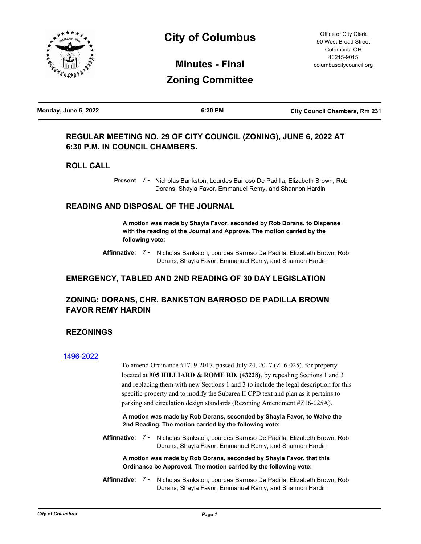

# **City of Columbus**

**Minutes - Final Zoning Committee**

| Monday, June 6, 2022 | 6:30 PM | <b>City Council Chambers, Rm 231</b> |
|----------------------|---------|--------------------------------------|
|                      |         |                                      |

# **REGULAR MEETING NO. 29 OF CITY COUNCIL (ZONING), JUNE 6, 2022 AT 6:30 P.M. IN COUNCIL CHAMBERS.**

## **ROLL CALL**

Present 7 - Nicholas Bankston, Lourdes Barroso De Padilla, Elizabeth Brown, Rob Dorans, Shayla Favor, Emmanuel Remy, and Shannon Hardin

## **READING AND DISPOSAL OF THE JOURNAL**

**A motion was made by Shayla Favor, seconded by Rob Dorans, to Dispense with the reading of the Journal and Approve. The motion carried by the following vote:**

Affirmative: 7 - Nicholas Bankston, Lourdes Barroso De Padilla, Elizabeth Brown, Rob Dorans, Shayla Favor, Emmanuel Remy, and Shannon Hardin

## **EMERGENCY, TABLED AND 2ND READING OF 30 DAY LEGISLATION**

## **ZONING: DORANS, CHR. BANKSTON BARROSO DE PADILLA BROWN FAVOR REMY HARDIN**

### **REZONINGS**

#### [1496-2022](http://columbus.legistar.com/gateway.aspx?m=l&id=/matter.aspx?key=123014)

To amend Ordinance #1719-2017, passed July 24, 2017 (Z16-025), for property located at **905 HILLIARD & ROME RD. (43228)**, by repealing Sections 1 and 3 and replacing them with new Sections 1 and 3 to include the legal description for this specific property and to modify the Subarea II CPD text and plan as it pertains to parking and circulation design standards (Rezoning Amendment #Z16-025A).

**A motion was made by Rob Dorans, seconded by Shayla Favor, to Waive the 2nd Reading. The motion carried by the following vote:**

Affirmative: 7 - Nicholas Bankston, Lourdes Barroso De Padilla, Elizabeth Brown, Rob Dorans, Shayla Favor, Emmanuel Remy, and Shannon Hardin

**A motion was made by Rob Dorans, seconded by Shayla Favor, that this Ordinance be Approved. The motion carried by the following vote:**

Affirmative: 7 - Nicholas Bankston, Lourdes Barroso De Padilla, Elizabeth Brown, Rob Dorans, Shayla Favor, Emmanuel Remy, and Shannon Hardin